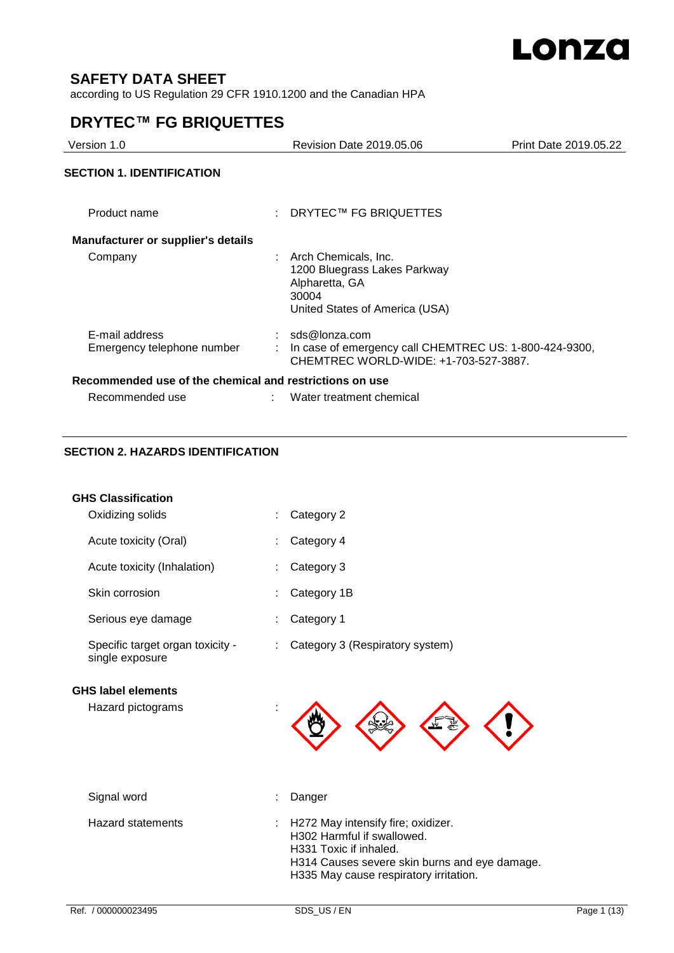

# **SAFETY DATA SHEET**

according to US Regulation 29 CFR 1910.1200 and the Canadian HPA

# **DRYTEC™ FG BRIQUETTES**

| Version 1.0                                             |                                                   | <b>Revision Date 2019.05.06</b>                                                                 | Print Date 2019.05.22 |
|---------------------------------------------------------|---------------------------------------------------|-------------------------------------------------------------------------------------------------|-----------------------|
| <b>SECTION 1. IDENTIFICATION</b>                        |                                                   |                                                                                                 |                       |
| Product name                                            |                                                   | $\therefore$ DRYTEC™ FG BRIQUETTES                                                              |                       |
| <b>Manufacturer or supplier's details</b>               |                                                   |                                                                                                 |                       |
| Company                                                 | : Arch Chemicals, Inc.<br>Alpharetta, GA<br>30004 | 1200 Bluegrass Lakes Parkway<br>United States of America (USA)                                  |                       |
| E-mail address<br>Emergency telephone number            | sds@lonza.com                                     | In case of emergency call CHEMTREC US: 1-800-424-9300,<br>CHEMTREC WORLD-WIDE: +1-703-527-3887. |                       |
| Recommended use of the chemical and restrictions on use |                                                   |                                                                                                 |                       |
| Recommended use                                         |                                                   | Water treatment chemical                                                                        |                       |

## **SECTION 2. HAZARDS IDENTIFICATION**

| <b>GHS Classification</b>                           |    |                                                                                                                                                                                       |
|-----------------------------------------------------|----|---------------------------------------------------------------------------------------------------------------------------------------------------------------------------------------|
| Oxidizing solids                                    |    | Category 2                                                                                                                                                                            |
| Acute toxicity (Oral)                               |    | Category 4                                                                                                                                                                            |
| Acute toxicity (Inhalation)                         |    | Category 3                                                                                                                                                                            |
| Skin corrosion                                      |    | Category 1B                                                                                                                                                                           |
| Serious eye damage                                  |    | Category 1                                                                                                                                                                            |
| Specific target organ toxicity -<br>single exposure |    | Category 3 (Respiratory system)                                                                                                                                                       |
| <b>GHS label elements</b>                           |    |                                                                                                                                                                                       |
| Hazard pictograms                                   |    |                                                                                                                                                                                       |
| Signal word                                         |    | Danger                                                                                                                                                                                |
| <b>Hazard statements</b>                            | ÷. | H272 May intensify fire; oxidizer.<br>H302 Harmful if swallowed.<br>H331 Toxic if inhaled.<br>H314 Causes severe skin burns and eye damage.<br>H335 May cause respiratory irritation. |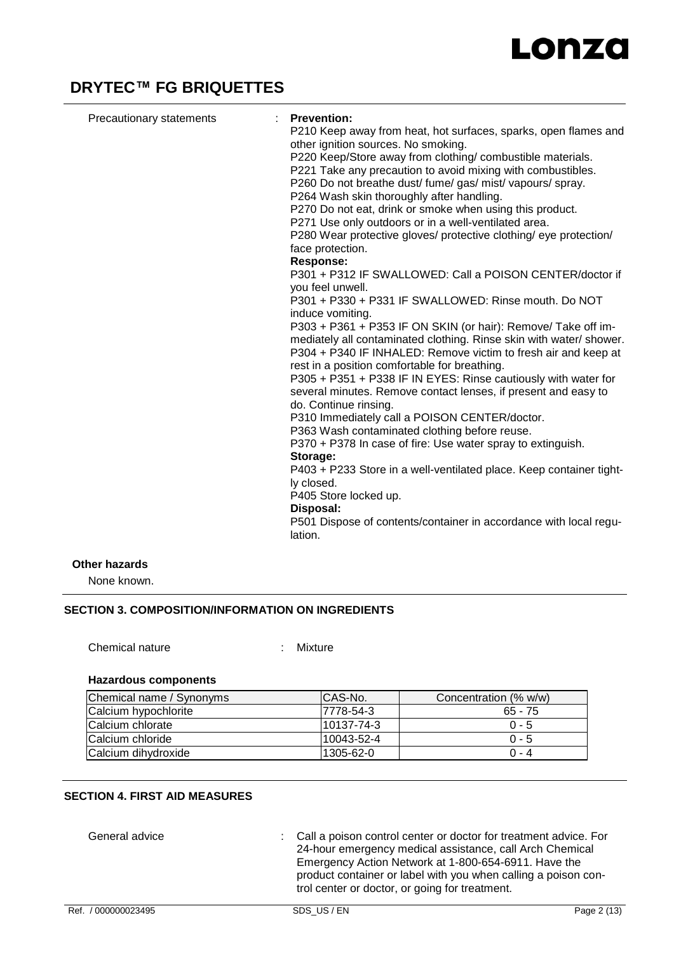# **DRYTEC™ FG BRIQUETTES**

| Precautionary statements | : Prevention:<br>P210 Keep away from heat, hot surfaces, sparks, open flames and<br>other ignition sources. No smoking.<br>P220 Keep/Store away from clothing/ combustible materials.<br>P221 Take any precaution to avoid mixing with combustibles.<br>P260 Do not breathe dust/ fume/ gas/ mist/ vapours/ spray.<br>P264 Wash skin thoroughly after handling.<br>P270 Do not eat, drink or smoke when using this product.<br>P271 Use only outdoors or in a well-ventilated area.<br>P280 Wear protective gloves/ protective clothing/ eye protection/<br>face protection.<br><b>Response:</b><br>P301 + P312 IF SWALLOWED: Call a POISON CENTER/doctor if<br>you feel unwell.<br>P301 + P330 + P331 IF SWALLOWED: Rinse mouth. Do NOT<br>induce vomiting.<br>P303 + P361 + P353 IF ON SKIN (or hair): Remove/ Take off im-<br>mediately all contaminated clothing. Rinse skin with water/ shower.<br>P304 + P340 IF INHALED: Remove victim to fresh air and keep at<br>rest in a position comfortable for breathing.<br>P305 + P351 + P338 IF IN EYES: Rinse cautiously with water for<br>several minutes. Remove contact lenses, if present and easy to<br>do. Continue rinsing.<br>P310 Immediately call a POISON CENTER/doctor.<br>P363 Wash contaminated clothing before reuse.<br>P370 + P378 In case of fire: Use water spray to extinguish.<br>Storage:<br>P403 + P233 Store in a well-ventilated place. Keep container tight-<br>ly closed.<br>P405 Store locked up.<br>Disposal:<br>P501 Dispose of contents/container in accordance with local regu-<br>lation. |
|--------------------------|------------------------------------------------------------------------------------------------------------------------------------------------------------------------------------------------------------------------------------------------------------------------------------------------------------------------------------------------------------------------------------------------------------------------------------------------------------------------------------------------------------------------------------------------------------------------------------------------------------------------------------------------------------------------------------------------------------------------------------------------------------------------------------------------------------------------------------------------------------------------------------------------------------------------------------------------------------------------------------------------------------------------------------------------------------------------------------------------------------------------------------------------------------------------------------------------------------------------------------------------------------------------------------------------------------------------------------------------------------------------------------------------------------------------------------------------------------------------------------------------------------------------------------------------------------------------------|
|                          |                                                                                                                                                                                                                                                                                                                                                                                                                                                                                                                                                                                                                                                                                                                                                                                                                                                                                                                                                                                                                                                                                                                                                                                                                                                                                                                                                                                                                                                                                                                                                                              |

## **Other hazards**

None known.

## **SECTION 3. COMPOSITION/INFORMATION ON INGREDIENTS**

Chemical nature : Mixture

#### **Hazardous components**

| Chemical name / Synonyms | ICAS-No.   | Concentration (% w/w) |
|--------------------------|------------|-----------------------|
| Calcium hypochlorite     | 7778-54-3  | 65 - 75               |
| Calcium chlorate         | 10137-74-3 | $0 - 5$               |
| Calcium chloride         | 10043-52-4 | $0 - 5$               |
| Calcium dihydroxide      | 1305-62-0  | $0 - 4$               |

## **SECTION 4. FIRST AID MEASURES**

General advice : Call a poison control center or doctor for treatment advice. For 24-hour emergency medical assistance, call Arch Chemical Emergency Action Network at 1-800-654-6911. Have the product container or label with you when calling a poison control center or doctor, or going for treatment.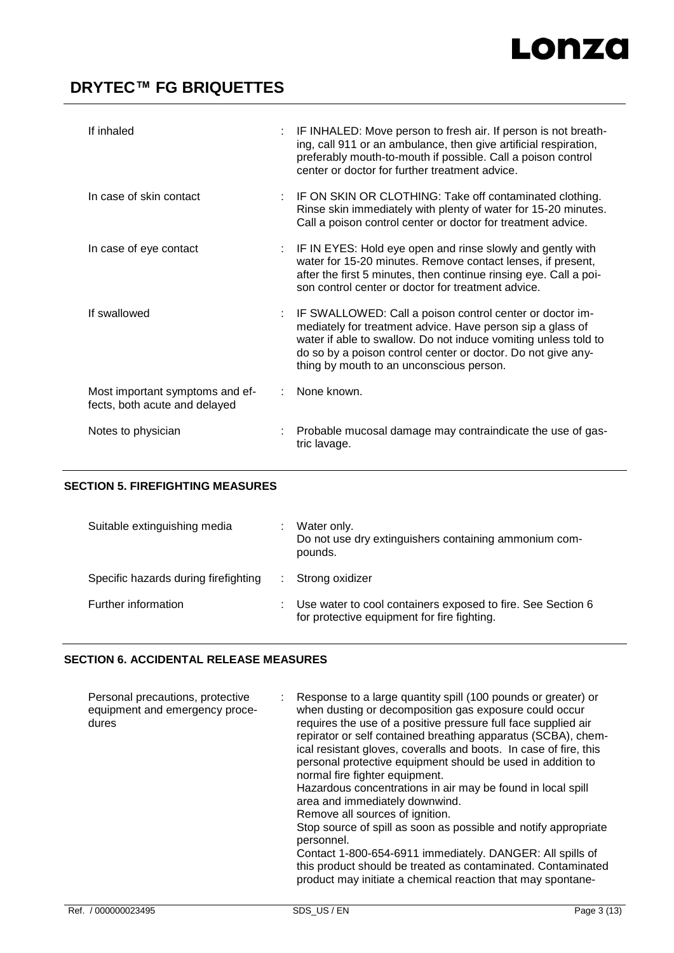# **DRYTEC™ FG BRIQUETTES**

| If inhaled                                                       | IF INHALED: Move person to fresh air. If person is not breath-<br>ing, call 911 or an ambulance, then give artificial respiration,<br>preferably mouth-to-mouth if possible. Call a poison control<br>center or doctor for further treatment advice.                                                  |
|------------------------------------------------------------------|-------------------------------------------------------------------------------------------------------------------------------------------------------------------------------------------------------------------------------------------------------------------------------------------------------|
| In case of skin contact                                          | IF ON SKIN OR CLOTHING: Take off contaminated clothing.<br>Rinse skin immediately with plenty of water for 15-20 minutes.<br>Call a poison control center or doctor for treatment advice.                                                                                                             |
| In case of eye contact                                           | IF IN EYES: Hold eye open and rinse slowly and gently with<br>water for 15-20 minutes. Remove contact lenses, if present,<br>after the first 5 minutes, then continue rinsing eye. Call a poi-<br>son control center or doctor for treatment advice.                                                  |
| If swallowed                                                     | IF SWALLOWED: Call a poison control center or doctor im-<br>mediately for treatment advice. Have person sip a glass of<br>water if able to swallow. Do not induce vomiting unless told to<br>do so by a poison control center or doctor. Do not give any-<br>thing by mouth to an unconscious person. |
| Most important symptoms and ef-<br>fects, both acute and delayed | None known.                                                                                                                                                                                                                                                                                           |
| Notes to physician                                               | Probable mucosal damage may contraindicate the use of gas-<br>tric lavage.                                                                                                                                                                                                                            |

#### **SECTION 5. FIREFIGHTING MEASURES**

| Suitable extinguishing media         |    | Water only.<br>Do not use dry extinguishers containing ammonium com-<br>pounds.                            |
|--------------------------------------|----|------------------------------------------------------------------------------------------------------------|
| Specific hazards during firefighting | ÷. | Strong oxidizer                                                                                            |
| Further information                  |    | Use water to cool containers exposed to fire. See Section 6<br>for protective equipment for fire fighting. |

## **SECTION 6. ACCIDENTAL RELEASE MEASURES**

|  | dures | Personal precautions, protective<br>equipment and emergency proce- |  | Response to a large quantity spill (100 pounds or greater) or<br>when dusting or decomposition gas exposure could occur<br>requires the use of a positive pressure full face supplied air<br>repirator or self contained breathing apparatus (SCBA), chem-<br>ical resistant gloves, coveralls and boots. In case of fire, this<br>personal protective equipment should be used in addition to<br>normal fire fighter equipment.<br>Hazardous concentrations in air may be found in local spill<br>area and immediately downwind.<br>Remove all sources of ignition.<br>Stop source of spill as soon as possible and notify appropriate<br>personnel.<br>Contact 1-800-654-6911 immediately. DANGER: All spills of<br>this product should be treated as contaminated. Contaminated<br>product may initiate a chemical reaction that may spontane- |
|--|-------|--------------------------------------------------------------------|--|---------------------------------------------------------------------------------------------------------------------------------------------------------------------------------------------------------------------------------------------------------------------------------------------------------------------------------------------------------------------------------------------------------------------------------------------------------------------------------------------------------------------------------------------------------------------------------------------------------------------------------------------------------------------------------------------------------------------------------------------------------------------------------------------------------------------------------------------------|
|--|-------|--------------------------------------------------------------------|--|---------------------------------------------------------------------------------------------------------------------------------------------------------------------------------------------------------------------------------------------------------------------------------------------------------------------------------------------------------------------------------------------------------------------------------------------------------------------------------------------------------------------------------------------------------------------------------------------------------------------------------------------------------------------------------------------------------------------------------------------------------------------------------------------------------------------------------------------------|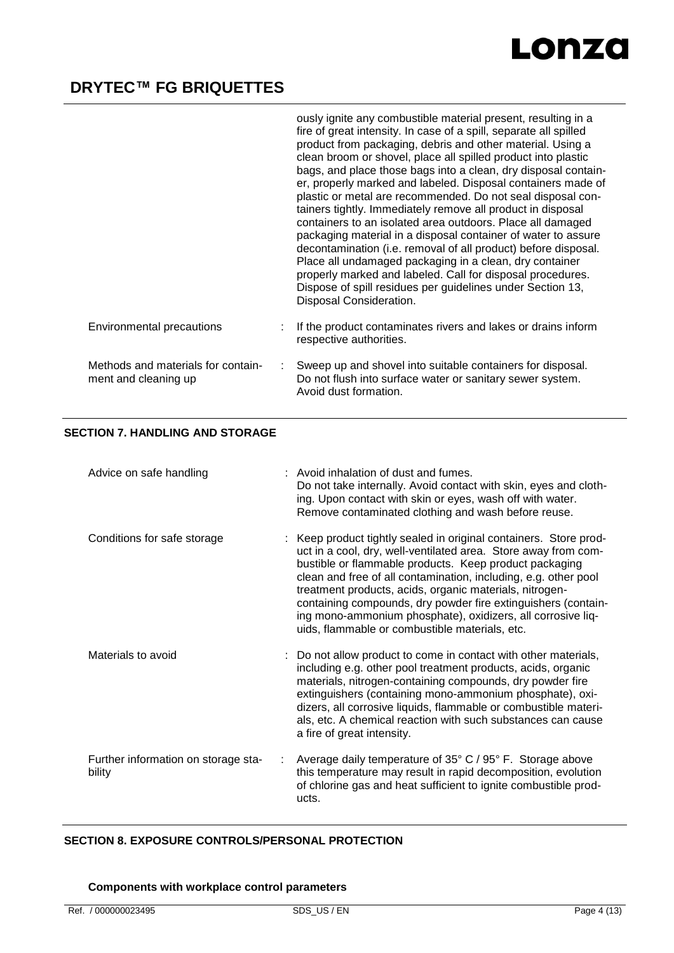

|                                                            | ously ignite any combustible material present, resulting in a<br>fire of great intensity. In case of a spill, separate all spilled<br>product from packaging, debris and other material. Using a<br>clean broom or shovel, place all spilled product into plastic<br>bags, and place those bags into a clean, dry disposal contain-<br>er, properly marked and labeled. Disposal containers made of<br>plastic or metal are recommended. Do not seal disposal con-<br>tainers tightly. Immediately remove all product in disposal<br>containers to an isolated area outdoors. Place all damaged<br>packaging material in a disposal container of water to assure<br>decontamination (i.e. removal of all product) before disposal.<br>Place all undamaged packaging in a clean, dry container<br>properly marked and labeled. Call for disposal procedures.<br>Dispose of spill residues per guidelines under Section 13,<br>Disposal Consideration. |
|------------------------------------------------------------|------------------------------------------------------------------------------------------------------------------------------------------------------------------------------------------------------------------------------------------------------------------------------------------------------------------------------------------------------------------------------------------------------------------------------------------------------------------------------------------------------------------------------------------------------------------------------------------------------------------------------------------------------------------------------------------------------------------------------------------------------------------------------------------------------------------------------------------------------------------------------------------------------------------------------------------------------|
| Environmental precautions                                  | If the product contaminates rivers and lakes or drains inform<br>respective authorities.                                                                                                                                                                                                                                                                                                                                                                                                                                                                                                                                                                                                                                                                                                                                                                                                                                                             |
| Methods and materials for contain-<br>ment and cleaning up | Sweep up and shovel into suitable containers for disposal.<br>Do not flush into surface water or sanitary sewer system.<br>Avoid dust formation.                                                                                                                                                                                                                                                                                                                                                                                                                                                                                                                                                                                                                                                                                                                                                                                                     |

### **SECTION 7. HANDLING AND STORAGE**

| Advice on safe handling                       | : Avoid inhalation of dust and fumes.<br>Do not take internally. Avoid contact with skin, eyes and cloth-<br>ing. Upon contact with skin or eyes, wash off with water.<br>Remove contaminated clothing and wash before reuse.                                                                                                                                                                                                                                                                               |
|-----------------------------------------------|-------------------------------------------------------------------------------------------------------------------------------------------------------------------------------------------------------------------------------------------------------------------------------------------------------------------------------------------------------------------------------------------------------------------------------------------------------------------------------------------------------------|
| Conditions for safe storage                   | Keep product tightly sealed in original containers. Store prod-<br>uct in a cool, dry, well-ventilated area. Store away from com-<br>bustible or flammable products. Keep product packaging<br>clean and free of all contamination, including, e.g. other pool<br>treatment products, acids, organic materials, nitrogen-<br>containing compounds, dry powder fire extinguishers (contain-<br>ing mono-ammonium phosphate), oxidizers, all corrosive liq-<br>uids, flammable or combustible materials, etc. |
| Materials to avoid                            | : Do not allow product to come in contact with other materials,<br>including e.g. other pool treatment products, acids, organic<br>materials, nitrogen-containing compounds, dry powder fire<br>extinguishers (containing mono-ammonium phosphate), oxi-<br>dizers, all corrosive liquids, flammable or combustible materi-<br>als, etc. A chemical reaction with such substances can cause<br>a fire of great intensity.                                                                                   |
| Further information on storage sta-<br>bility | Average daily temperature of 35° C / 95° F. Storage above<br>this temperature may result in rapid decomposition, evolution<br>of chlorine gas and heat sufficient to ignite combustible prod-<br>ucts.                                                                                                                                                                                                                                                                                                      |

## **SECTION 8. EXPOSURE CONTROLS/PERSONAL PROTECTION**

## **Components with workplace control parameters**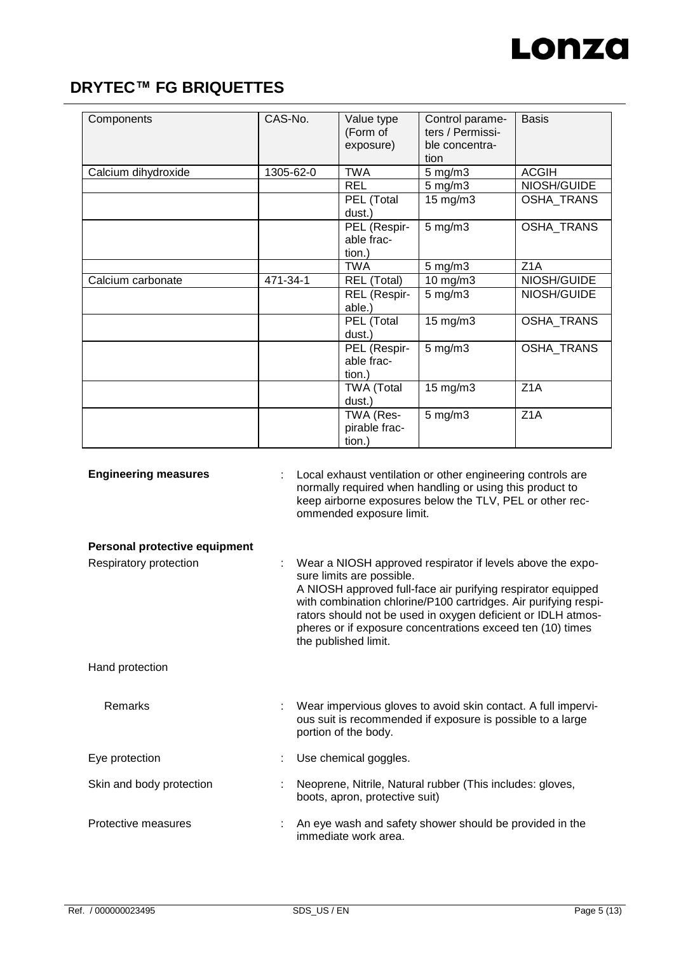

| Components          | CAS-No.   | Value type<br>(Form of<br>exposure)  | Control parame-<br>ters / Permissi-<br>ble concentra-<br>tion | <b>Basis</b>      |
|---------------------|-----------|--------------------------------------|---------------------------------------------------------------|-------------------|
| Calcium dihydroxide | 1305-62-0 | <b>TWA</b>                           | $5 \text{ mg/m}$ 3                                            | <b>ACGIH</b>      |
|                     |           | <b>REL</b>                           | $5 \text{ mg/m}$ 3                                            | NIOSH/GUIDE       |
|                     |           | PEL (Total<br>dust.)                 | 15 mg/m3                                                      | OSHA_TRANS        |
|                     |           | PEL (Respir-<br>able frac-<br>tion.) | $5 \text{ mg/m}$ 3                                            | <b>OSHA_TRANS</b> |
|                     |           | <b>TWA</b>                           | $5 \text{ mg/m}$ 3                                            | Z <sub>1</sub> A  |
| Calcium carbonate   | 471-34-1  | REL (Total)                          | 10 mg/m3                                                      | NIOSH/GUIDE       |
|                     |           | REL (Respir-<br>able.)               | $5$ mg/m $3$                                                  | NIOSH/GUIDE       |
|                     |           | PEL (Total<br>dust.)                 | 15 mg/m3                                                      | <b>OSHA TRANS</b> |
|                     |           | PEL (Respir-<br>able frac-<br>tion.) | $5 \text{ mg/m}$ 3                                            | OSHA_TRANS        |
|                     |           | <b>TWA (Total</b><br>dust.)          | 15 mg/m3                                                      | Z1A               |
|                     |           | TWA (Res-<br>pirable frac-<br>tion.) | $5$ mg/m $3$                                                  | Z <sub>1</sub> A  |

| <b>Engineering measures</b>   | Local exhaust ventilation or other engineering controls are<br>normally required when handling or using this product to<br>keep airborne exposures below the TLV, PEL or other rec-<br>ommended exposure limit.                                                                                                                                                                  |
|-------------------------------|----------------------------------------------------------------------------------------------------------------------------------------------------------------------------------------------------------------------------------------------------------------------------------------------------------------------------------------------------------------------------------|
| Personal protective equipment |                                                                                                                                                                                                                                                                                                                                                                                  |
| Respiratory protection        | Wear a NIOSH approved respirator if levels above the expo-<br>sure limits are possible.<br>A NIOSH approved full-face air purifying respirator equipped<br>with combination chlorine/P100 cartridges. Air purifying respi-<br>rators should not be used in oxygen deficient or IDLH atmos-<br>pheres or if exposure concentrations exceed ten (10) times<br>the published limit. |
| Hand protection               |                                                                                                                                                                                                                                                                                                                                                                                  |
| Remarks                       | Wear impervious gloves to avoid skin contact. A full impervi-<br>ous suit is recommended if exposure is possible to a large<br>portion of the body.                                                                                                                                                                                                                              |
| Eye protection                | Use chemical goggles.                                                                                                                                                                                                                                                                                                                                                            |
| Skin and body protection      | Neoprene, Nitrile, Natural rubber (This includes: gloves,<br>boots, apron, protective suit)                                                                                                                                                                                                                                                                                      |
| Protective measures           | An eye wash and safety shower should be provided in the<br>immediate work area.                                                                                                                                                                                                                                                                                                  |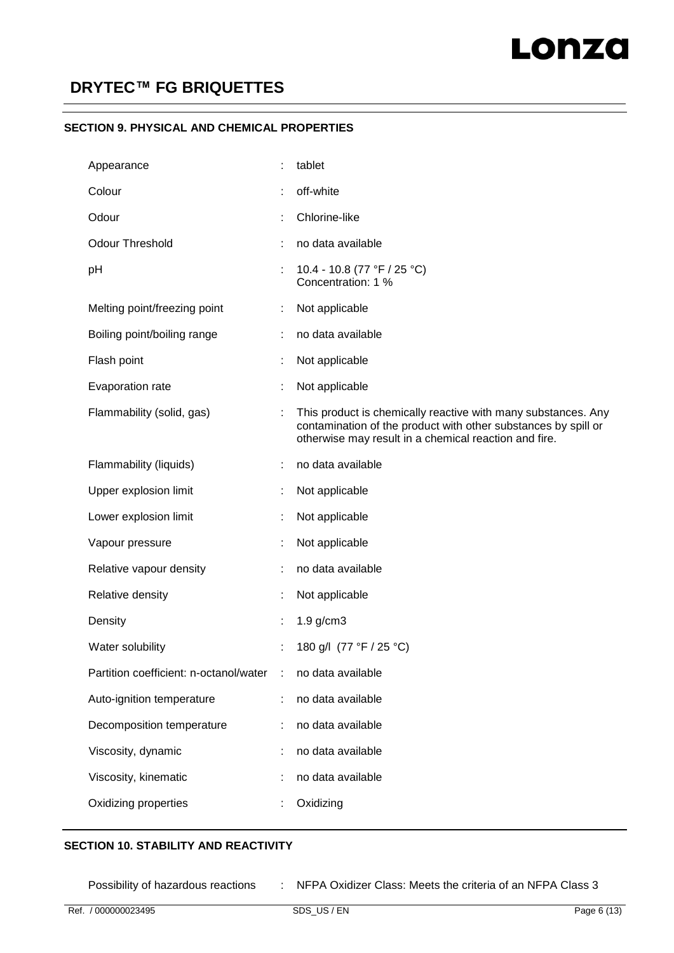#### **SECTION 9. PHYSICAL AND CHEMICAL PROPERTIES**

| Appearance                             | tablet                                                                                                                                                                                   |
|----------------------------------------|------------------------------------------------------------------------------------------------------------------------------------------------------------------------------------------|
| Colour                                 | off-white                                                                                                                                                                                |
| Odour                                  | Chlorine-like                                                                                                                                                                            |
| <b>Odour Threshold</b>                 | no data available                                                                                                                                                                        |
| pH                                     | 10.4 - 10.8 (77 °F / 25 °C)<br>Concentration: 1 %                                                                                                                                        |
| Melting point/freezing point           | Not applicable                                                                                                                                                                           |
| Boiling point/boiling range            | no data available                                                                                                                                                                        |
| Flash point                            | Not applicable                                                                                                                                                                           |
| Evaporation rate                       | Not applicable                                                                                                                                                                           |
| Flammability (solid, gas)              | This product is chemically reactive with many substances. Any<br>contamination of the product with other substances by spill or<br>otherwise may result in a chemical reaction and fire. |
| Flammability (liquids)                 | no data available                                                                                                                                                                        |
| Upper explosion limit                  | Not applicable                                                                                                                                                                           |
| Lower explosion limit                  | Not applicable                                                                                                                                                                           |
| Vapour pressure                        | Not applicable                                                                                                                                                                           |
| Relative vapour density                | no data available                                                                                                                                                                        |
| Relative density                       | Not applicable                                                                                                                                                                           |
| Density                                | $1.9$ g/cm $3$                                                                                                                                                                           |
| Water solubility                       | 180 g/l (77 °F / 25 °C)                                                                                                                                                                  |
| Partition coefficient: n-octanol/water | no data available                                                                                                                                                                        |
| Auto-ignition temperature              | no data available                                                                                                                                                                        |
| Decomposition temperature              | no data available                                                                                                                                                                        |
| Viscosity, dynamic                     | no data available                                                                                                                                                                        |
| Viscosity, kinematic                   | no data available                                                                                                                                                                        |
| Oxidizing properties                   | Oxidizing                                                                                                                                                                                |

### **SECTION 10. STABILITY AND REACTIVITY**

Possibility of hazardous reactions : NFPA Oxidizer Class: Meets the criteria of an NFPA Class 3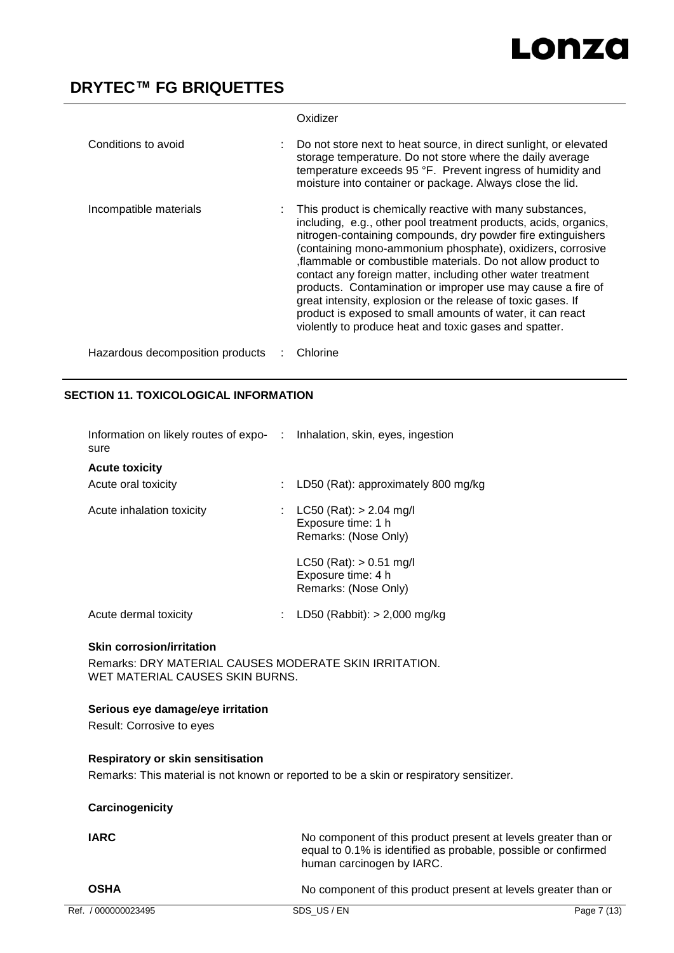# **DRYTEC™ FG BRIQUETTES**

|                                  | Oxidizer                                                                                                                                                                                                                                                                                                                                                                                                                                                                                                                                                                                                                                         |
|----------------------------------|--------------------------------------------------------------------------------------------------------------------------------------------------------------------------------------------------------------------------------------------------------------------------------------------------------------------------------------------------------------------------------------------------------------------------------------------------------------------------------------------------------------------------------------------------------------------------------------------------------------------------------------------------|
| Conditions to avoid              | Do not store next to heat source, in direct sunlight, or elevated<br>storage temperature. Do not store where the daily average<br>temperature exceeds 95 °F. Prevent ingress of humidity and<br>moisture into container or package. Always close the lid.                                                                                                                                                                                                                                                                                                                                                                                        |
| Incompatible materials           | This product is chemically reactive with many substances,<br>including, e.g., other pool treatment products, acids, organics,<br>nitrogen-containing compounds, dry powder fire extinguishers<br>(containing mono-ammonium phosphate), oxidizers, corrosive<br>flammable or combustible materials. Do not allow product to<br>contact any foreign matter, including other water treatment<br>products. Contamination or improper use may cause a fire of<br>great intensity, explosion or the release of toxic gases. If<br>product is exposed to small amounts of water, it can react<br>violently to produce heat and toxic gases and spatter. |
| Hazardous decomposition products | Chlorine                                                                                                                                                                                                                                                                                                                                                                                                                                                                                                                                                                                                                                         |

## **SECTION 11. TOXICOLOGICAL INFORMATION**

| Information on likely routes of expo- : Inhalation, skin, eyes, ingestion<br>sure |   |                                                                             |
|-----------------------------------------------------------------------------------|---|-----------------------------------------------------------------------------|
| <b>Acute toxicity</b>                                                             |   |                                                                             |
| Acute oral toxicity                                                               | ÷ | LD50 (Rat): approximately 800 mg/kg                                         |
| Acute inhalation toxicity                                                         |   | : $LC50$ (Rat): $> 2.04$ mg/l<br>Exposure time: 1 h<br>Remarks: (Nose Only) |
|                                                                                   |   | $LC50$ (Rat): $> 0.51$ mg/l<br>Exposure time: 4 h<br>Remarks: (Nose Only)   |
| Acute dermal toxicity                                                             | ÷ | LD50 (Rabbit): $> 2,000$ mg/kg                                              |
| <b>Skin corrosion/irritation</b>                                                  |   |                                                                             |

Remarks: DRY MATERIAL CAUSES MODERATE SKIN IRRITATION. WET MATERIAL CAUSES SKIN BURNS.

#### **Serious eye damage/eye irritation**

Result: Corrosive to eyes

#### **Respiratory or skin sensitisation**

Remarks: This material is not known or reported to be a skin or respiratory sensitizer.

| Carcinogenicity     |                                                                                                                                                               |             |
|---------------------|---------------------------------------------------------------------------------------------------------------------------------------------------------------|-------------|
| <b>IARC</b>         | No component of this product present at levels greater than or<br>equal to 0.1% is identified as probable, possible or confirmed<br>human carcinogen by IARC. |             |
| <b>OSHA</b>         | No component of this product present at levels greater than or                                                                                                |             |
| Ref. / 000000023495 | SDS US/EN                                                                                                                                                     | Page 7 (13) |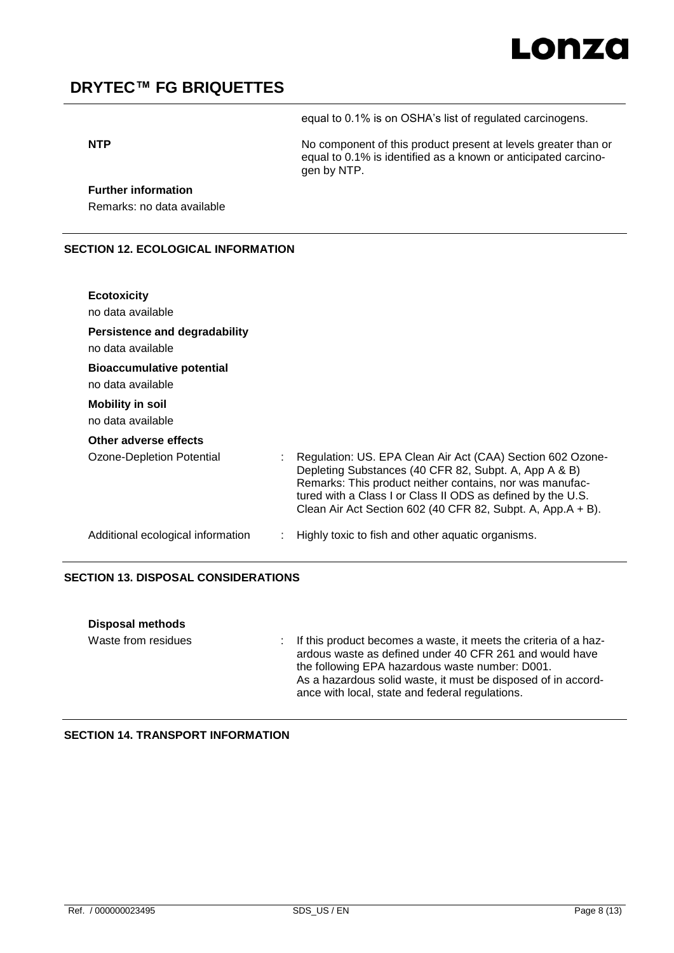# **DRYTEC™ FG BRIQUETTES**

equal to 0.1% is on OSHA's list of regulated carcinogens.

**NTP** No component of this product present at levels greater than or equal to 0.1% is identified as a known or anticipated carcinogen by NTP.

#### **Further information**

Remarks: no data available

## **SECTION 12. ECOLOGICAL INFORMATION**

| <b>Ecotoxicity</b><br>no data available               |                                                                                                                                                                                                                                                                                                               |
|-------------------------------------------------------|---------------------------------------------------------------------------------------------------------------------------------------------------------------------------------------------------------------------------------------------------------------------------------------------------------------|
| Persistence and degradability<br>no data available    |                                                                                                                                                                                                                                                                                                               |
| <b>Bioaccumulative potential</b><br>no data available |                                                                                                                                                                                                                                                                                                               |
| <b>Mobility in soil</b><br>no data available          |                                                                                                                                                                                                                                                                                                               |
| Other adverse effects                                 |                                                                                                                                                                                                                                                                                                               |
| Ozone-Depletion Potential                             | Regulation: US. EPA Clean Air Act (CAA) Section 602 Ozone-<br>Depleting Substances (40 CFR 82, Subpt. A, App A & B)<br>Remarks: This product neither contains, nor was manufac-<br>tured with a Class I or Class II ODS as defined by the U.S.<br>Clean Air Act Section 602 (40 CFR 82, Subpt. A, App.A + B). |
| Additional ecological information                     | Highly toxic to fish and other aquatic organisms.                                                                                                                                                                                                                                                             |

## **SECTION 13. DISPOSAL CONSIDERATIONS**

| <b>Disposal methods</b> |                                                                                                                                                                                                                                                                                                      |
|-------------------------|------------------------------------------------------------------------------------------------------------------------------------------------------------------------------------------------------------------------------------------------------------------------------------------------------|
| Waste from residues     | : If this product becomes a waste, it meets the criteria of a haz-<br>ardous waste as defined under 40 CFR 261 and would have<br>the following EPA hazardous waste number: D001.<br>As a hazardous solid waste, it must be disposed of in accord-<br>ance with local, state and federal regulations. |

#### **SECTION 14. TRANSPORT INFORMATION**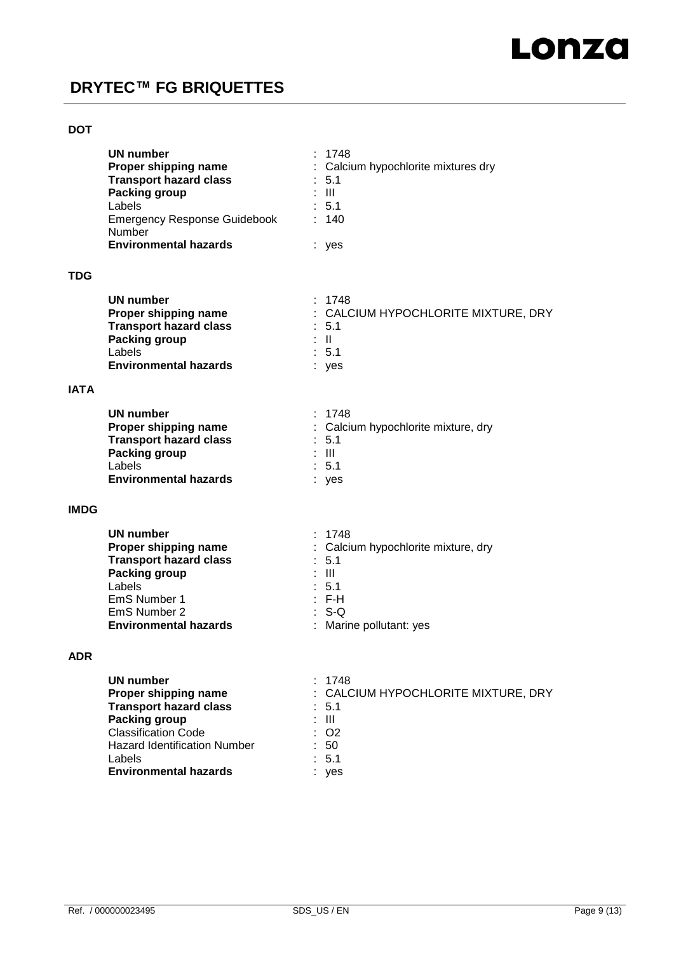## **DOT**

|             | <b>UN number</b><br>Proper shipping name<br><b>Transport hazard class</b><br><b>Packing group</b><br>Labels<br><b>Emergency Response Guidebook</b><br><b>Number</b><br><b>Environmental hazards</b>              | : 1748<br>: Calcium hypochlorite mixtures dry<br>: 5.1<br>$\pm$ 111<br>: 5.1<br>: 140<br>: yes                                    |
|-------------|------------------------------------------------------------------------------------------------------------------------------------------------------------------------------------------------------------------|-----------------------------------------------------------------------------------------------------------------------------------|
| <b>TDG</b>  |                                                                                                                                                                                                                  |                                                                                                                                   |
|             | <b>UN number</b><br>Proper shipping name<br><b>Transport hazard class</b><br><b>Packing group</b><br>Labels<br><b>Environmental hazards</b>                                                                      | : 1748<br>: CALCIUM HYPOCHLORITE MIXTURE, DRY<br>$\therefore$ 5.1<br>: II<br>: 5.1<br>: yes                                       |
| <b>IATA</b> |                                                                                                                                                                                                                  |                                                                                                                                   |
|             | <b>UN number</b><br>Proper shipping name<br><b>Transport hazard class</b><br><b>Packing group</b><br>Labels<br><b>Environmental hazards</b>                                                                      | : 1748<br>: Calcium hypochlorite mixture, dry<br>: 5.1<br>$\pm$ 111<br>: 5.1<br>: yes                                             |
| <b>IMDG</b> |                                                                                                                                                                                                                  |                                                                                                                                   |
|             | <b>UN number</b><br>Proper shipping name<br><b>Transport hazard class</b><br><b>Packing group</b><br>Labels<br>EmS Number 1<br>EmS Number 2<br><b>Environmental hazards</b>                                      | : 1748<br>: Calcium hypochlorite mixture, dry<br>: 5.1<br>$\pm$ 111<br>: 5.1<br>$E = F - H$<br>$: S-Q$<br>: Marine pollutant: yes |
| <b>ADR</b>  |                                                                                                                                                                                                                  |                                                                                                                                   |
|             | <b>UN number</b><br>Proper shipping name<br><b>Transport hazard class</b><br><b>Packing group</b><br><b>Classification Code</b><br><b>Hazard Identification Number</b><br>Labels<br><b>Environmental hazards</b> | 1748<br>CALCIUM HYPOCHLORITE MIXTURE, DRY<br>5.1<br>$\mathbf{III}$<br>O <sub>2</sub><br>50<br>5.1<br>yes                          |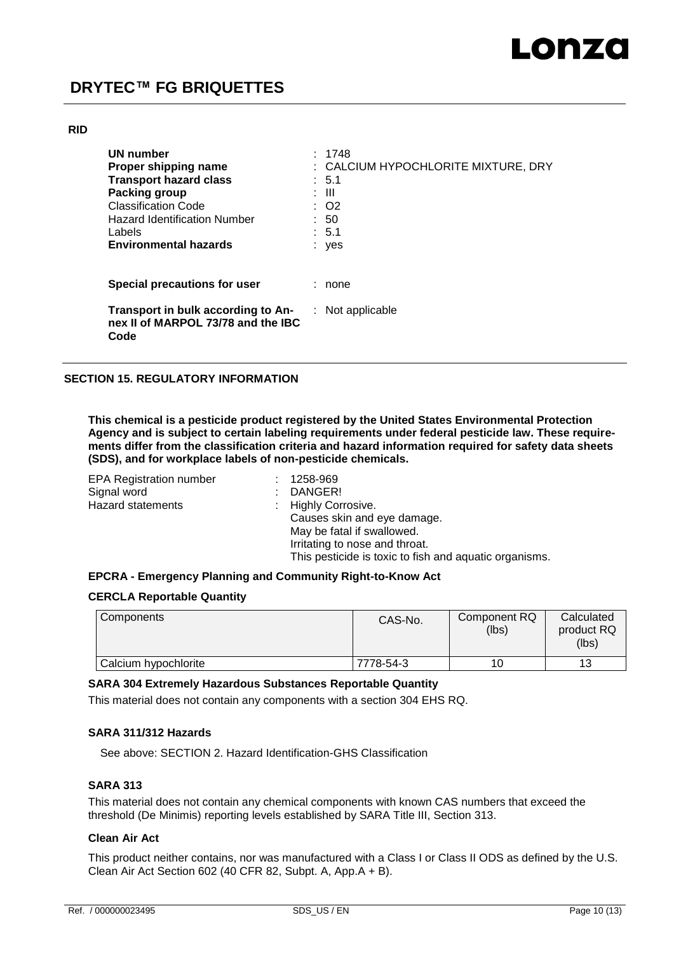#### **RID**

| UN number<br>Proper shipping name<br><b>Transport hazard class</b><br>Packing group<br><b>Classification Code</b><br>Hazard Identification Number<br>Labels<br><b>Environmental hazards</b> | : 1748<br>: CALCIUM HYPOCHLORITE MIXTURE, DRY<br>: 5.1<br>: III<br>$\therefore$ O2<br>:50<br>: 5.1<br>yes |
|---------------------------------------------------------------------------------------------------------------------------------------------------------------------------------------------|-----------------------------------------------------------------------------------------------------------|
| Special precautions for user                                                                                                                                                                | none                                                                                                      |
| Transport in bulk according to An-<br>nex II of MARPOL 73/78 and the IBC<br>Code                                                                                                            | $:$ Not applicable                                                                                        |

## **SECTION 15. REGULATORY INFORMATION**

**This chemical is a pesticide product registered by the United States Environmental Protection Agency and is subject to certain labeling requirements under federal pesticide law. These requirements differ from the classification criteria and hazard information required for safety data sheets (SDS), and for workplace labels of non-pesticide chemicals.**

| 1258-969                                               |
|--------------------------------------------------------|
| DANGER!                                                |
| : Highly Corrosive.                                    |
| Causes skin and eye damage.                            |
| May be fatal if swallowed.                             |
| Irritating to nose and throat.                         |
| This pesticide is toxic to fish and aquatic organisms. |
|                                                        |

### **EPCRA - Emergency Planning and Community Right-to-Know Act**

#### **CERCLA Reportable Quantity**

| Components           | CAS-No.   | Component RQ<br>(lbs) | Calculated<br>product RQ<br>(lbs) |
|----------------------|-----------|-----------------------|-----------------------------------|
| Calcium hypochlorite | 7778-54-3 | 10                    | 13                                |

### **SARA 304 Extremely Hazardous Substances Reportable Quantity**

This material does not contain any components with a section 304 EHS RQ.

#### **SARA 311/312 Hazards**

See above: SECTION 2. Hazard Identification-GHS Classification

## **SARA 313**

This material does not contain any chemical components with known CAS numbers that exceed the threshold (De Minimis) reporting levels established by SARA Title III, Section 313.

#### **Clean Air Act**

This product neither contains, nor was manufactured with a Class I or Class II ODS as defined by the U.S. Clean Air Act Section 602 (40 CFR 82, Subpt. A, App.A + B).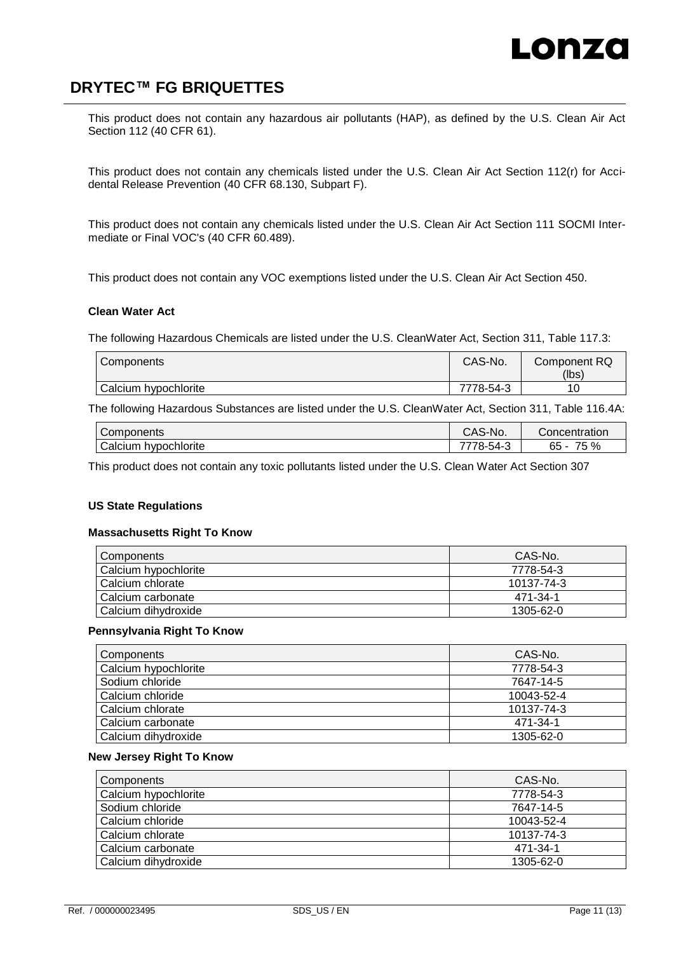This product does not contain any hazardous air pollutants (HAP), as defined by the U.S. Clean Air Act Section 112 (40 CFR 61).

This product does not contain any chemicals listed under the U.S. Clean Air Act Section 112(r) for Accidental Release Prevention (40 CFR 68.130, Subpart F).

This product does not contain any chemicals listed under the U.S. Clean Air Act Section 111 SOCMI Intermediate or Final VOC's (40 CFR 60.489).

This product does not contain any VOC exemptions listed under the U.S. Clean Air Act Section 450.

#### **Clean Water Act**

The following Hazardous Chemicals are listed under the U.S. CleanWater Act, Section 311, Table 117.3:

| Components           | CAS-No.   | Component RQ<br>(lbs) |
|----------------------|-----------|-----------------------|
| Calcium hypochlorite | 7778-54-3 | 10                    |

The following Hazardous Substances are listed under the U.S. CleanWater Act, Section 311, Table 116.4A:

| Components              | `S-No.<br>CAS- | Concentration         |
|-------------------------|----------------|-----------------------|
| Calcium<br>hypochlorite | '8-54-3<br>◡   | 75.<br>%<br>65<br>ں ، |

This product does not contain any toxic pollutants listed under the U.S. Clean Water Act Section 307

#### **US State Regulations**

#### **Massachusetts Right To Know**

| Components           | CAS-No.    |
|----------------------|------------|
| Calcium hypochlorite | 7778-54-3  |
| Calcium chlorate     | 10137-74-3 |
| Calcium carbonate    | 471-34-1   |
| Calcium dihydroxide  | 1305-62-0  |

#### **Pennsylvania Right To Know**

| Components           | CAS-No.    |
|----------------------|------------|
| Calcium hypochlorite | 7778-54-3  |
| Sodium chloride      | 7647-14-5  |
| Calcium chloride     | 10043-52-4 |
| Calcium chlorate     | 10137-74-3 |
| Calcium carbonate    | 471-34-1   |
| Calcium dihydroxide  | 1305-62-0  |

#### **New Jersey Right To Know**

| Components           | CAS-No.    |
|----------------------|------------|
| Calcium hypochlorite | 7778-54-3  |
| Sodium chloride      | 7647-14-5  |
| Calcium chloride     | 10043-52-4 |
| Calcium chlorate     | 10137-74-3 |
| Calcium carbonate    | 471-34-1   |
| Calcium dihydroxide  | 1305-62-0  |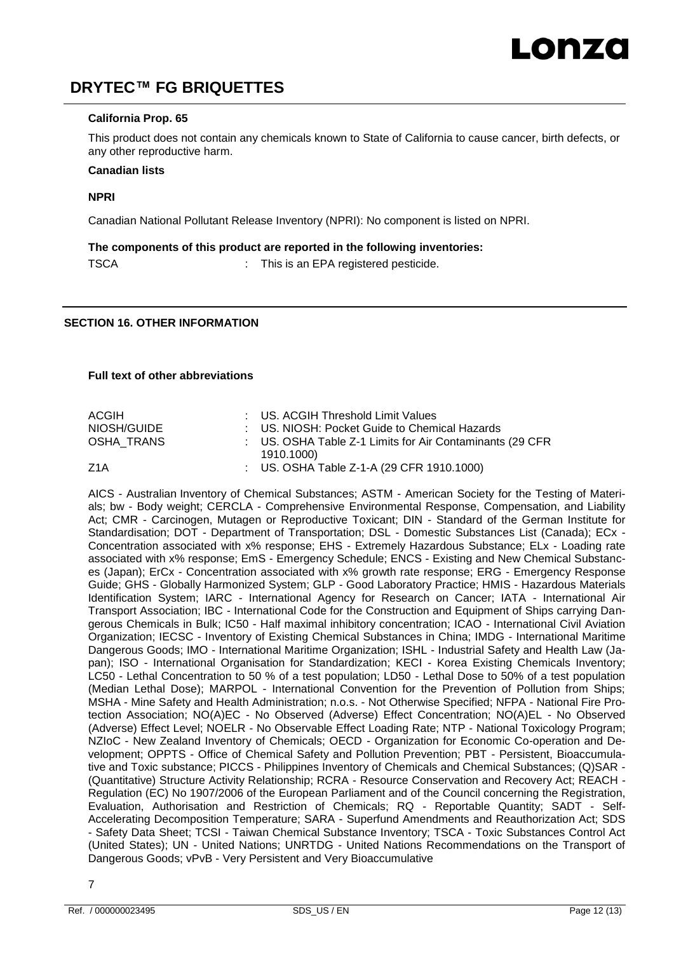#### **California Prop. 65**

This product does not contain any chemicals known to State of California to cause cancer, birth defects, or any other reproductive harm.

#### **Canadian lists**

#### **NPRI**

Canadian National Pollutant Release Inventory (NPRI): No component is listed on NPRI.

#### **The components of this product are reported in the following inventories:**

TSCA : This is an EPA registered pesticide.

#### **SECTION 16. OTHER INFORMATION**

**Full text of other abbreviations**

| ACGIH       | : US. ACGIH Threshold Limit Values                        |  |
|-------------|-----------------------------------------------------------|--|
| NIOSH/GUIDE | : US. NIOSH: Pocket Guide to Chemical Hazards             |  |
| OSHA TRANS  | : US. OSHA Table Z-1 Limits for Air Contaminants (29 CFR) |  |
|             | 1910.1000)                                                |  |
| Z1A         | : US. OSHA Table Z-1-A (29 CFR 1910.1000)                 |  |

AICS - Australian Inventory of Chemical Substances; ASTM - American Society for the Testing of Materials; bw - Body weight; CERCLA - Comprehensive Environmental Response, Compensation, and Liability Act; CMR - Carcinogen, Mutagen or Reproductive Toxicant; DIN - Standard of the German Institute for Standardisation; DOT - Department of Transportation; DSL - Domestic Substances List (Canada); ECx - Concentration associated with x% response; EHS - Extremely Hazardous Substance; ELx - Loading rate associated with x% response; EmS - Emergency Schedule; ENCS - Existing and New Chemical Substances (Japan); ErCx - Concentration associated with x% growth rate response; ERG - Emergency Response Guide; GHS - Globally Harmonized System; GLP - Good Laboratory Practice; HMIS - Hazardous Materials Identification System; IARC - International Agency for Research on Cancer; IATA - International Air Transport Association; IBC - International Code for the Construction and Equipment of Ships carrying Dangerous Chemicals in Bulk; IC50 - Half maximal inhibitory concentration; ICAO - International Civil Aviation Organization; IECSC - Inventory of Existing Chemical Substances in China; IMDG - International Maritime Dangerous Goods; IMO - International Maritime Organization; ISHL - Industrial Safety and Health Law (Japan); ISO - International Organisation for Standardization; KECI - Korea Existing Chemicals Inventory; LC50 - Lethal Concentration to 50 % of a test population; LD50 - Lethal Dose to 50% of a test population (Median Lethal Dose); MARPOL - International Convention for the Prevention of Pollution from Ships; MSHA - Mine Safety and Health Administration; n.o.s. - Not Otherwise Specified; NFPA - National Fire Protection Association; NO(A)EC - No Observed (Adverse) Effect Concentration; NO(A)EL - No Observed (Adverse) Effect Level; NOELR - No Observable Effect Loading Rate; NTP - National Toxicology Program; NZIoC - New Zealand Inventory of Chemicals; OECD - Organization for Economic Co-operation and Development; OPPTS - Office of Chemical Safety and Pollution Prevention; PBT - Persistent, Bioaccumulative and Toxic substance; PICCS - Philippines Inventory of Chemicals and Chemical Substances; (Q)SAR - (Quantitative) Structure Activity Relationship; RCRA - Resource Conservation and Recovery Act; REACH - Regulation (EC) No 1907/2006 of the European Parliament and of the Council concerning the Registration, Evaluation, Authorisation and Restriction of Chemicals; RQ - Reportable Quantity; SADT - Self-Accelerating Decomposition Temperature; SARA - Superfund Amendments and Reauthorization Act; SDS - Safety Data Sheet; TCSI - Taiwan Chemical Substance Inventory; TSCA - Toxic Substances Control Act (United States); UN - United Nations; UNRTDG - United Nations Recommendations on the Transport of Dangerous Goods; vPvB - Very Persistent and Very Bioaccumulative

7